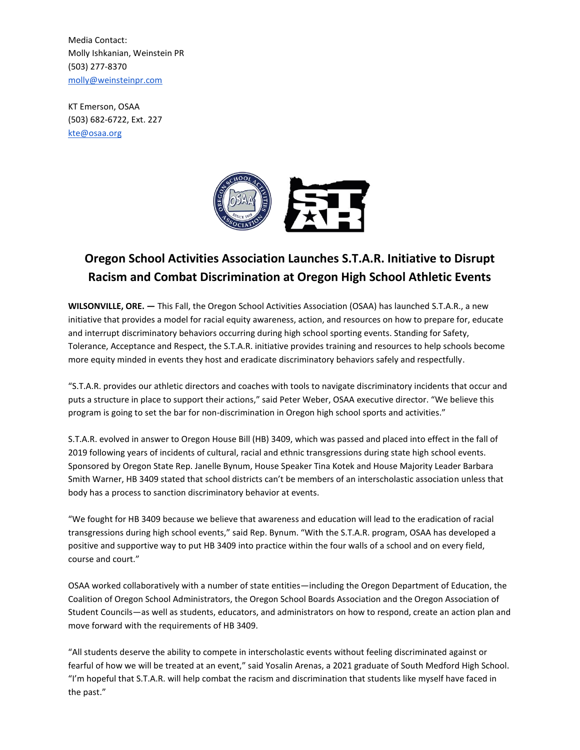Media Contact: Molly Ishkanian, Weinstein PR (503) 277-8370 [molly@weinsteinpr.com](mailto:molly@weinsteinpr.com)

KT Emerson, OSAA (503) 682-6722, Ext. 227 [kte@osaa.org](mailto:kte@osaa.org)



## **Oregon School Activities Association Launches S.T.A.R. Initiative to Disrupt Racism and Combat Discrimination at Oregon High School Athletic Events**

**WILSONVILLE, ORE. —** This Fall, the Oregon School Activities Association (OSAA) has launched S.T.A.R., a new initiative that provides a model for racial equity awareness, action, and resources on how to prepare for, educate and interrupt discriminatory behaviors occurring during high school sporting events. Standing for Safety, Tolerance, Acceptance and Respect, the S.T.A.R. initiative provides training and resources to help schools become more equity minded in events they host and eradicate discriminatory behaviors safely and respectfully.

"S.T.A.R. provides our athletic directors and coaches with tools to navigate discriminatory incidents that occur and puts a structure in place to support their actions," said Peter Weber, OSAA executive director. "We believe this program is going to set the bar for non-discrimination in Oregon high school sports and activities."

S.T.A.R. evolved in answer to Oregon House Bill (HB) 3409, which was passed and placed into effect in the fall of 2019 following years of incidents of cultural, racial and ethnic transgressions during state high school events. Sponsored by Oregon State Rep. Janelle Bynum, House Speaker Tina Kotek and House Majority Leader Barbara Smith Warner, HB 3409 stated that school districts can't be members of an interscholastic association unless that body has a process to sanction discriminatory behavior at events.

"We fought for HB 3409 because we believe that awareness and education will lead to the eradication of racial transgressions during high school events," said Rep. Bynum. "With the S.T.A.R. program, OSAA has developed a positive and supportive way to put HB 3409 into practice within the four walls of a school and on every field, course and court."

OSAA worked collaboratively with a number of state entities—including the Oregon Department of Education, the Coalition of Oregon School Administrators, the Oregon School Boards Association and the Oregon Association of Student Councils—as well as students, educators, and administrators on how to respond, create an action plan and move forward with the requirements of HB 3409.

"All students deserve the ability to compete in interscholastic events without feeling discriminated against or fearful of how we will be treated at an event," said Yosalin Arenas, a 2021 graduate of South Medford High School. "I'm hopeful that S.T.A.R. will help combat the racism and discrimination that students like myself have faced in the past."